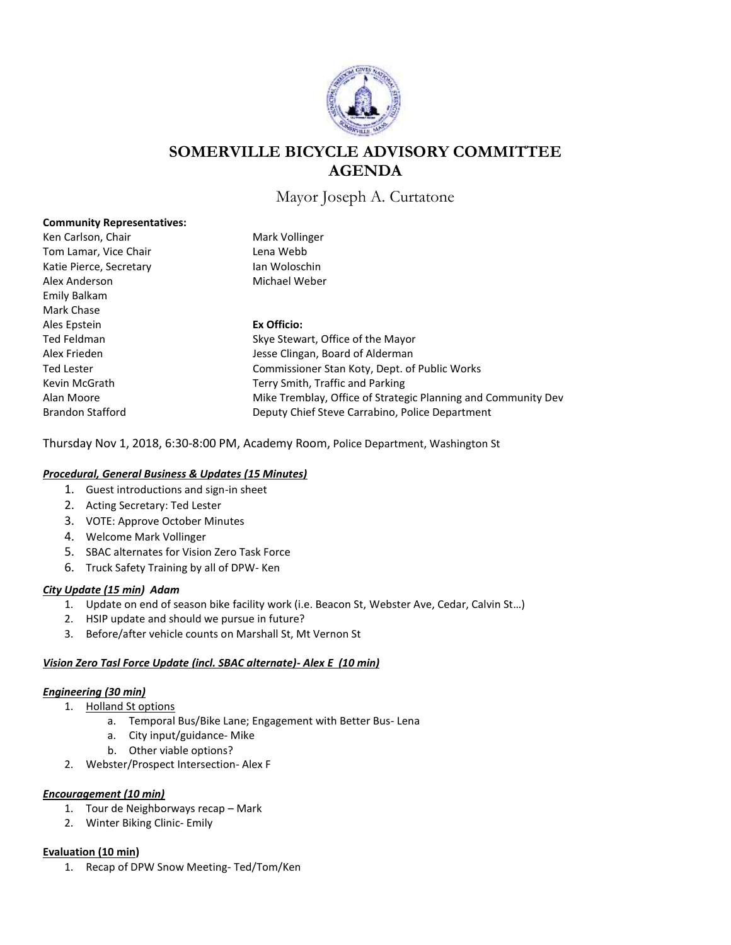

# **SOMERVILLE BICYCLE ADVISORY COMMITTEE AGENDA**

Mayor Joseph A. Curtatone

| <b>Community Representatives:</b> |                                                               |
|-----------------------------------|---------------------------------------------------------------|
| Ken Carlson, Chair                | Mark Vollinger                                                |
| Tom Lamar, Vice Chair             | Lena Webb                                                     |
| Katie Pierce, Secretary           | Jan Woloschin                                                 |
| Alex Anderson                     | Michael Weber                                                 |
| Emily Balkam                      |                                                               |
| Mark Chase                        |                                                               |
| Ales Epstein                      | Ex Officio:                                                   |
| Ted Feldman                       | Skye Stewart, Office of the Mayor                             |
| Alex Frieden                      | Jesse Clingan, Board of Alderman                              |
| Ted Lester                        | Commissioner Stan Koty, Dept. of Public Works                 |
| Kevin McGrath                     | Terry Smith, Traffic and Parking                              |
| Alan Moore                        | Mike Tremblay, Office of Strategic Planning and Community Dev |
| <b>Brandon Stafford</b>           | Deputy Chief Steve Carrabino, Police Department               |

Thursday Nov 1, 2018, 6:30-8:00 PM, Academy Room, Police Department, Washington St

# *Procedural, General Business & Updates (15 Minutes)*

- 1. Guest introductions and sign-in sheet
- 2. Acting Secretary: Ted Lester
- 3. VOTE: Approve October Minutes
- 4. Welcome Mark Vollinger
- 5. SBAC alternates for Vision Zero Task Force
- 6. Truck Safety Training by all of DPW- Ken

## *City Update (15 min) Adam*

- 1. Update on end of season bike facility work (i.e. Beacon St, Webster Ave, Cedar, Calvin St…)
- 2. HSIP update and should we pursue in future?
- 3. Before/after vehicle counts on Marshall St, Mt Vernon St

## *Vision Zero Tasl Force Update (incl. SBAC alternate)- Alex E (10 min)*

## *Engineering (30 min)*

- 1. Holland St options
	- a. Temporal Bus/Bike Lane; Engagement with Better Bus- Lena
	- a. City input/guidance- Mike
	- b. Other viable options?
- 2. Webster/Prospect Intersection- Alex F

# *Encouragement (10 min)*

- 1. Tour de Neighborways recap Mark
- 2. Winter Biking Clinic- Emily

## **Evaluation (10 min)**

1. Recap of DPW Snow Meeting- Ted/Tom/Ken